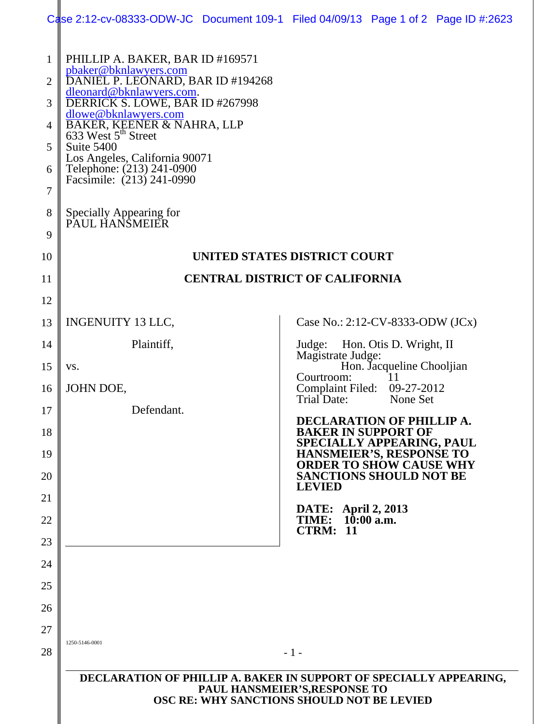|          | Case 2:12-cv-08333-ODW-JC Document 109-1 Filed 04/09/13 Page 1 of 2 Page ID #:2623                                                                                                             |  |                                                                  |                           |  |  |
|----------|------------------------------------------------------------------------------------------------------------------------------------------------------------------------------------------------|--|------------------------------------------------------------------|---------------------------|--|--|
| 1<br>2   | PHILLIP A. BAKER, BAR ID #169571<br>pbaker@bknlawyers.com<br>DANIEL P. LEONARD, BAR ID #194268                                                                                                 |  |                                                                  |                           |  |  |
| 3        | dleonard@bknlawyers.com.<br>DERRICK S. LOWE, BAR ID #267998                                                                                                                                    |  |                                                                  |                           |  |  |
| 4        | dlowe@bknlawyers.com<br>BAKER, KEENER & NAHRA, LLP<br>633 West 5 <sup>th</sup> Street<br>Suite 5400<br>Los Angeles, California 90071<br>Telephone: (213) 241-0900<br>Facsimile: (213) 241-0990 |  |                                                                  |                           |  |  |
| 5        |                                                                                                                                                                                                |  |                                                                  |                           |  |  |
| 6        |                                                                                                                                                                                                |  |                                                                  |                           |  |  |
| 7        |                                                                                                                                                                                                |  |                                                                  |                           |  |  |
| 8        | Specially Appearing for<br>PAUL HANSMEIER                                                                                                                                                      |  |                                                                  |                           |  |  |
| 9        |                                                                                                                                                                                                |  |                                                                  |                           |  |  |
| 10       | UNITED STATES DISTRICT COURT                                                                                                                                                                   |  |                                                                  |                           |  |  |
| 11       | <b>CENTRAL DISTRICT OF CALIFORNIA</b>                                                                                                                                                          |  |                                                                  |                           |  |  |
| 12       |                                                                                                                                                                                                |  |                                                                  |                           |  |  |
| 13       | <b>INGENUITY 13 LLC,</b>                                                                                                                                                                       |  | Case No.: $2:12$ -CV-8333-ODW (JCx)                              |                           |  |  |
| 14<br>15 | Plaintiff,<br>VS.                                                                                                                                                                              |  | Judge: Hon. Otis D. Wright, II<br>Magistrate Judge:              | Hon. Jacqueline Chooljian |  |  |
| 16       | JOHN DOE,                                                                                                                                                                                      |  | Courtroom:<br>Complaint Filed: 09-27-2012                        | 11                        |  |  |
| 17       | Defendant.                                                                                                                                                                                     |  | Trial Date:<br>None Set                                          |                           |  |  |
| 18       | DECLARATION OF PHILLIP A.<br><b>BAKER IN SUPPORT OF</b>                                                                                                                                        |  |                                                                  |                           |  |  |
| 19       |                                                                                                                                                                                                |  | SPECIALLY APPEARING, PAUL<br>HANSMEIER'S, RESPONSE TO            |                           |  |  |
| 20       |                                                                                                                                                                                                |  | <b>ORDER TO SHOW CAUSE WHY</b><br><b>SANCTIONS SHOULD NOT BE</b> |                           |  |  |
| 21       |                                                                                                                                                                                                |  | <b>LEVIED</b><br><b>DATE:</b> April 2, 2013                      |                           |  |  |
| 22       |                                                                                                                                                                                                |  | TIME: 10:00 a.m.<br><b>CTRM: 11</b>                              |                           |  |  |
| 23       |                                                                                                                                                                                                |  |                                                                  |                           |  |  |
| 24       |                                                                                                                                                                                                |  |                                                                  |                           |  |  |
| 25       |                                                                                                                                                                                                |  |                                                                  |                           |  |  |
| 26       |                                                                                                                                                                                                |  |                                                                  |                           |  |  |
| 27<br>28 | 1250-5146-0001                                                                                                                                                                                 |  |                                                                  |                           |  |  |
|          | $-1-$                                                                                                                                                                                          |  |                                                                  |                           |  |  |
|          | DECLARATION OF PHILLIP A. BAKER IN SUPPORT OF SPECIALLY APPEARING,<br>PAUL HANSMEIER'S, RESPONSE TO<br>OSC RE: WHY SANCTIONS SHOULD NOT BE LEVIED                                              |  |                                                                  |                           |  |  |